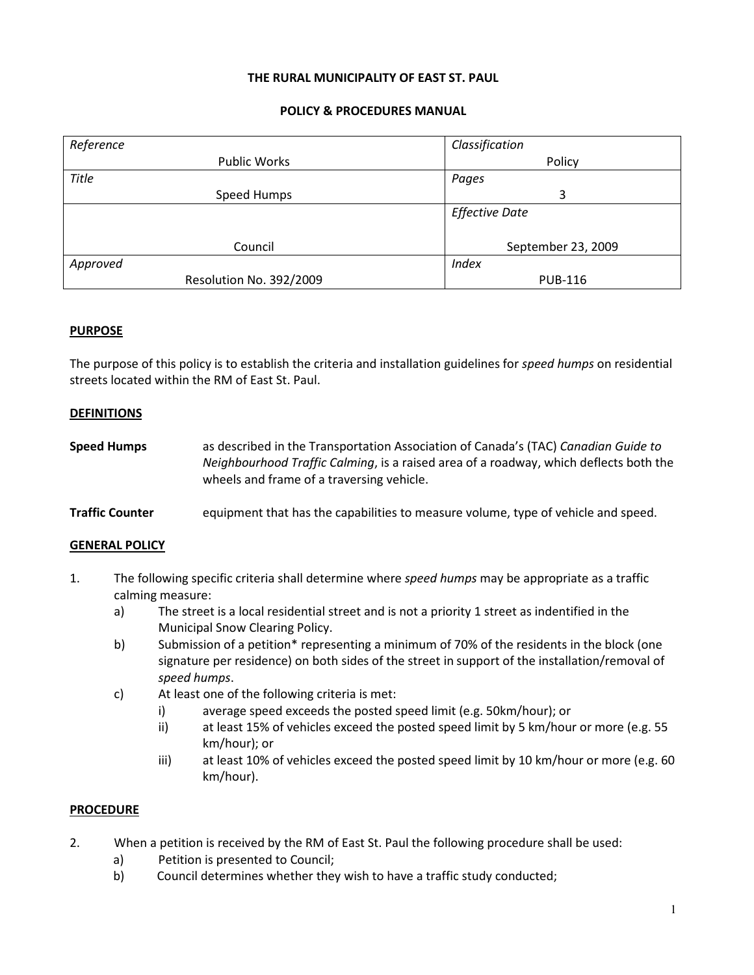### THE RURAL MUNICIPALITY OF EAST ST. PAUL

# POLICY & PROCEDURES MANUAL

| Reference               | Classification        |
|-------------------------|-----------------------|
| <b>Public Works</b>     | Policy                |
| <b>Title</b>            | Pages                 |
| Speed Humps             | 3                     |
|                         | <b>Effective Date</b> |
|                         |                       |
| Council                 | September 23, 2009    |
| Approved                | <b>Index</b>          |
| Resolution No. 392/2009 | <b>PUB-116</b>        |

# **PURPOSE**

The purpose of this policy is to establish the criteria and installation guidelines for speed humps on residential streets located within the RM of East St. Paul.

#### **DEFINITIONS**

| <b>Speed Humps</b> | as described in the Transportation Association of Canada's (TAC) Canadian Guide to    |
|--------------------|---------------------------------------------------------------------------------------|
|                    | Neighbourhood Traffic Calming, is a raised area of a roadway, which deflects both the |
|                    | wheels and frame of a traversing vehicle.                                             |

#### **Traffic Counter** equipment that has the capabilities to measure volume, type of vehicle and speed.

#### GENERAL POLICY

- 1. The following specific criteria shall determine where speed humps may be appropriate as a traffic calming measure:
	- a) The street is a local residential street and is not a priority 1 street as indentified in the Municipal Snow Clearing Policy.
	- b) Submission of a petition\* representing a minimum of 70% of the residents in the block (one signature per residence) on both sides of the street in support of the installation/removal of speed humps.
	- c) At least one of the following criteria is met:
		- i) average speed exceeds the posted speed limit (e.g. 50km/hour); or
		- ii) at least 15% of vehicles exceed the posted speed limit by 5 km/hour or more (e.g. 55 km/hour); or
		- iii) at least 10% of vehicles exceed the posted speed limit by 10 km/hour or more (e.g. 60 km/hour).

### **PROCEDURE**

- 2. When a petition is received by the RM of East St. Paul the following procedure shall be used:
	- a) Petition is presented to Council;
	- b) Council determines whether they wish to have a traffic study conducted;